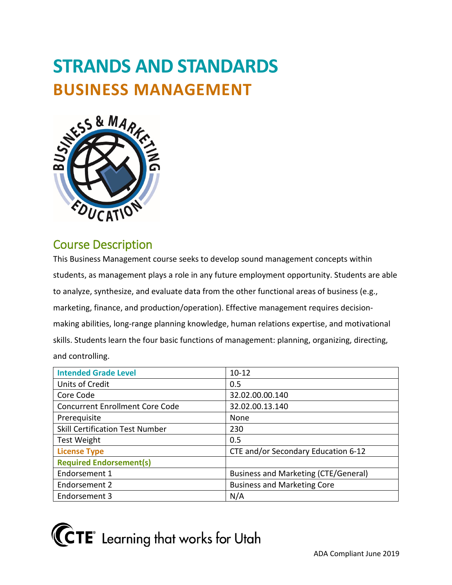# **STRANDS AND STANDARDS BUSINESS MANAGEMENT**



# Course Description

 to analyze, synthesize, and evaluate data from the other functional areas of business (e.g., marketing, finance, and production/operation). Effective management requires decision- skills. Students learn the four basic functions of management: planning, organizing, directing, This Business Management course seeks to develop sound management concepts within students, as management plays a role in any future employment opportunity. Students are able making abilities, long-range planning knowledge, human relations expertise, and motivational and controlling.

| <b>Intended Grade Level</b>            | $10 - 12$                                   |
|----------------------------------------|---------------------------------------------|
| Units of Credit                        | 0.5                                         |
| Core Code                              | 32.02.00.00.140                             |
| <b>Concurrent Enrollment Core Code</b> | 32.02.00.13.140                             |
| Prerequisite                           | None                                        |
| <b>Skill Certification Test Number</b> | 230                                         |
| <b>Test Weight</b>                     | 0.5                                         |
| <b>License Type</b>                    | CTE and/or Secondary Education 6-12         |
| <b>Required Endorsement(s)</b>         |                                             |
| Endorsement 1                          | <b>Business and Marketing (CTE/General)</b> |
| Endorsement 2                          | <b>Business and Marketing Core</b>          |
| Endorsement 3                          | N/A                                         |

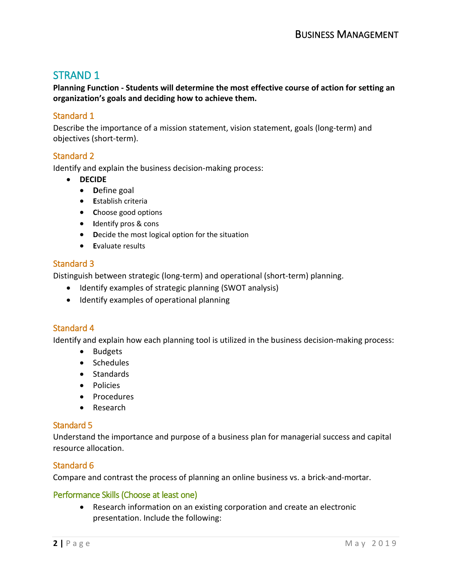# STRAND 1

 **Planning Function - Students will determine the most effective course of action for setting an organization's goals and deciding how to achieve them.** 

## Standard 1

Describe the importance of a mission statement, vision statement, goals (long-term) and objectives (short-term).

### Standard 2

Identify and explain the business decision-making process:

- **DECIDE**
	- **D**efine goal
	- **E**stablish criteria
	- **C**hoose good options
	- **I**dentify pros & cons
	- **D**ecide the most logical option for the situation
	- **E**valuate results

### Standard 3

Distinguish between strategic (long-term) and operational (short-term) planning.

- Identify examples of strategic planning (SWOT analysis)
- Identify examples of operational planning

# Standard 4

Identify and explain how each planning tool is utilized in the business decision-making process:

- Budgets
- Schedules
- Standards
- Policies
- Procedures
- Research

### Standard 5

 resource allocation. Understand the importance and purpose of a business plan for managerial success and capital

### Standard 6

Compare and contrast the process of planning an online business vs. a brick-and-mortar.

#### Performance Skills (Choose at least one)

• Research information on an existing corporation and create an electronic presentation. Include the following: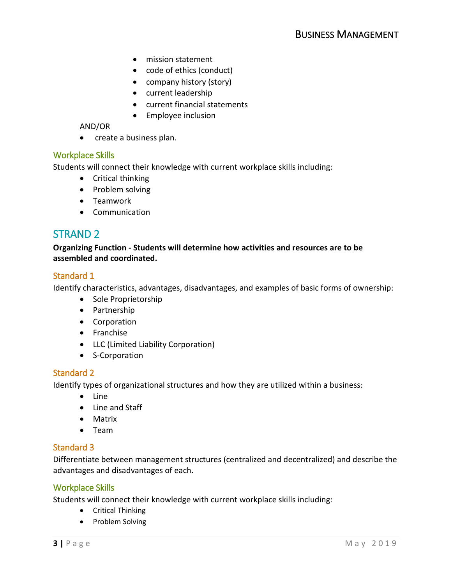- mission statement
- code of ethics (conduct)
- company history (story)
- current leadership
- current financial statements
- Employee inclusion

#### AND/OR

• create a business plan.

### Workplace Skills

Students will connect their knowledge with current workplace skills including:

- Critical thinking
- Problem solving
- Teamwork
- Communication

# STRAND 2

 **Organizing Function - Students will determine how activities and resources are to be assembled and coordinated.** 

### Standard 1

Identify characteristics, advantages, disadvantages, and examples of basic forms of ownership:

- Sole Proprietorship
- Partnership
- Corporation
- Franchise
- LLC (Limited Liability Corporation)
- S-Corporation

### Standard 2

Identify types of organizational structures and how they are utilized within a business:

- Line
- Line and Staff
- Matrix
- Team

### Standard 3

Differentiate between management structures (centralized and decentralized) and describe the advantages and disadvantages of each.

#### Workplace Skills

Students will connect their knowledge with current workplace skills including:

- Critical Thinking
- Problem Solving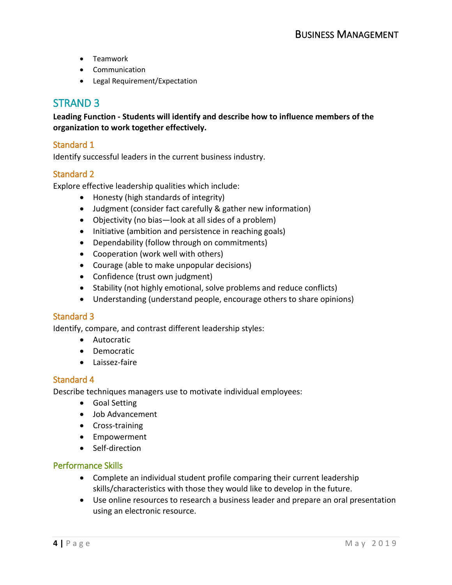- Teamwork
- Communication
- Legal Requirement/Expectation

# STRAND 3

 **Leading Function - Students will identify and describe how to influence members of the organization to work together effectively.** 

### Standard 1

Identify successful leaders in the current business industry.

### Standard 2

Explore effective leadership qualities which include:

- Honesty (high standards of integrity)
- Judgment (consider fact carefully & gather new information)
- Objectivity (no bias—look at all sides of a problem)
- Initiative (ambition and persistence in reaching goals)
- Dependability (follow through on commitments)
- Cooperation (work well with others)
- Courage (able to make unpopular decisions)
- Confidence (trust own judgment)
- Stability (not highly emotional, solve problems and reduce conflicts)
- Understanding (understand people, encourage others to share opinions)

### Standard 3

Identify, compare, and contrast different leadership styles:

- Autocratic
- Democratic
- Laissez-faire

#### Standard 4

Describe techniques managers use to motivate individual employees:

- Goal Setting
- Job Advancement
- Cross-training
- Empowerment
- Self-direction

### Performance Skills

- skills/characteristics with those they would like to develop in the future. • Complete an individual student profile comparing their current leadership
- • Use online resources to research a business leader and prepare an oral presentation using an electronic resource.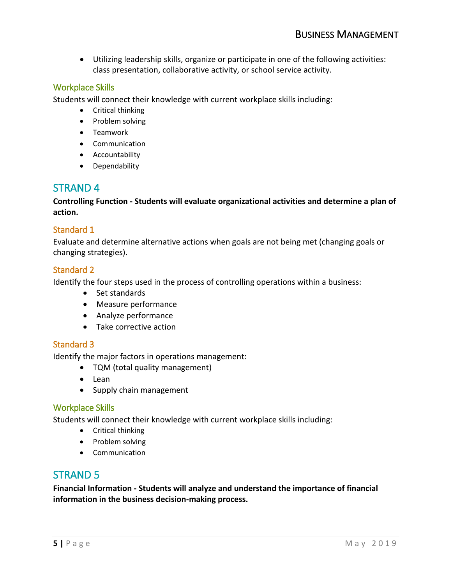• Utilizing leadership skills, organize or participate in one of the following activities: class presentation, collaborative activity, or school service activity.

# Workplace Skills

Students will connect their knowledge with current workplace skills including:

- Critical thinking
- Problem solving
- Teamwork
- Communication
- Accountability
- Dependability

# STRAND 4

 **Controlling Function - Students will evaluate organizational activities and determine a plan of action.** 

# Standard 1

 Evaluate and determine alternative actions when goals are not being met (changing goals or changing strategies).

### Standard 2

Identify the four steps used in the process of controlling operations within a business:

- Set standards
- Measure performance
- Analyze performance
- Take corrective action

# Standard 3

Identify the major factors in operations management:

- TQM (total quality management)
- Lean
- Supply chain management

### Workplace Skills

Students will connect their knowledge with current workplace skills including:

- Critical thinking
- Problem solving
- Communication

# STRAND 5

 **Financial Information - Students will analyze and understand the importance of financial information in the business decision-making process.**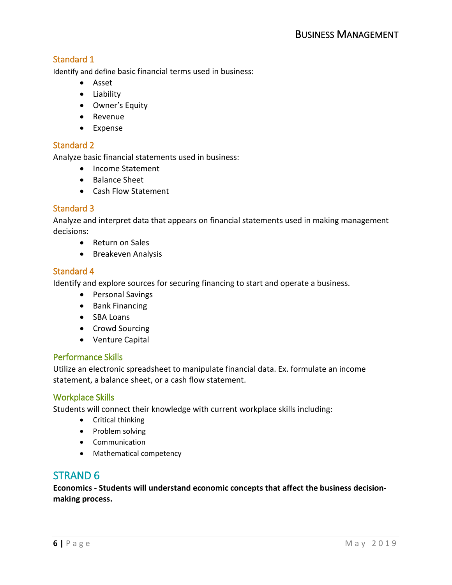Identify and define basic financial terms used in business:

- Asset
- Liability
- Owner's Equity
- Revenue
- Expense

# Standard 2

Analyze basic financial statements used in business:

- Income Statement
- Balance Sheet
- Cash Flow Statement

# Standard 3

 Analyze and interpret data that appears on financial statements used in making management decisions:

- Return on Sales
- Breakeven Analysis

# Standard 4

Identify and explore sources for securing financing to start and operate a business.

- Personal Savings
- Bank Financing
- SBA Loans
- Crowd Sourcing
- Venture Capital

### Performance Skills

 Utilize an electronic spreadsheet to manipulate financial data. Ex. formulate an income statement, a balance sheet, or a cash flow statement.

### Workplace Skills

Students will connect their knowledge with current workplace skills including:

- Critical thinking
- Problem solving
- Communication
- Mathematical competency

# STRAND 6

 **Economics - Students will understand economic concepts that affect the business decisionmaking process.**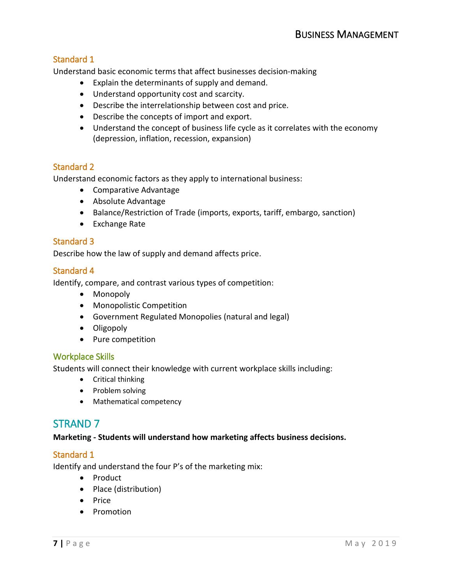Understand basic economic terms that affect businesses decision-making

- Explain the determinants of supply and demand.
- Understand opportunity cost and scarcity.
- Describe the interrelationship between cost and price.
- Describe the concepts of import and export.
- Understand the concept of business life cycle as it correlates with the economy (depression, inflation, recession, expansion)

### Standard 2

Understand economic factors as they apply to international business:

- Comparative Advantage
- Absolute Advantage
- Balance/Restriction of Trade (imports, exports, tariff, embargo, sanction)
- Exchange Rate

# Standard 3

Describe how the law of supply and demand affects price.

### Standard 4

Identify, compare, and contrast various types of competition:

- Monopoly
- Monopolistic Competition
- Government Regulated Monopolies (natural and legal)
- Oligopoly
- Pure competition

#### Workplace Skills

Students will connect their knowledge with current workplace skills including:

- Critical thinking
- Problem solving
- Mathematical competency

# STRAND 7

### **Marketing - Students will understand how marketing affects business decisions.**

### Standard 1

Identify and understand the four P's of the marketing mix:

- Product
- Place (distribution)
- Price
- Promotion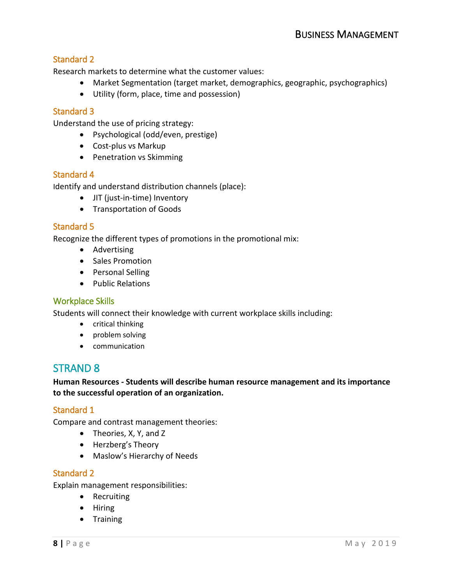Research markets to determine what the customer values:

- Market Segmentation (target market, demographics, geographic, psychographics)
- Utility (form, place, time and possession)

### Standard 3

Understand the use of pricing strategy:

- Psychological (odd/even, prestige)
- Cost-plus vs Markup
- Penetration vs Skimming

### Standard 4

Identify and understand distribution channels (place):

- JIT (just-in-time) Inventory
- Transportation of Goods

### Standard 5

Recognize the different types of promotions in the promotional mix:

- Advertising
- Sales Promotion
- Personal Selling
- Public Relations

### Workplace Skills

Students will connect their knowledge with current workplace skills including:

- critical thinking
- problem solving
- communication

# STRAND 8

 **Human Resources - Students will describe human resource management and its importance to the successful operation of an organization.** 

### Standard 1

Compare and contrast management theories:

- Theories, X, Y, and Z
- Herzberg's Theory
- Maslow's Hierarchy of Needs

#### Standard 2

Explain management responsibilities:

- Recruiting
- Hiring
- Training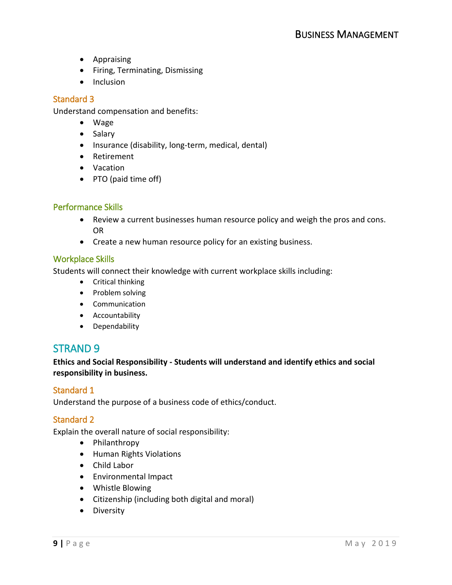- Appraising
- Firing, Terminating, Dismissing
- Inclusion

Understand compensation and benefits:

- Wage
- Salary
- Insurance (disability, long-term, medical, dental)
- Retirement
- Vacation
- PTO (paid time off)

### Performance Skills

- Review a current businesses human resource policy and weigh the pros and cons. OR
- Create a new human resource policy for an existing business.

### Workplace Skills

Students will connect their knowledge with current workplace skills including:

- Critical thinking
- Problem solving
- Communication
- Accountability
- Dependability

# STRAND 9

 **responsibility in business. Ethics and Social Responsibility - Students will understand and identify ethics and social** 

### Standard 1

Understand the purpose of a business code of ethics/conduct.

### Standard 2

Explain the overall nature of social responsibility:

- Philanthropy
- Human Rights Violations
- Child Labor
- Environmental Impact
- Whistle Blowing
- Citizenship (including both digital and moral)
- Diversity